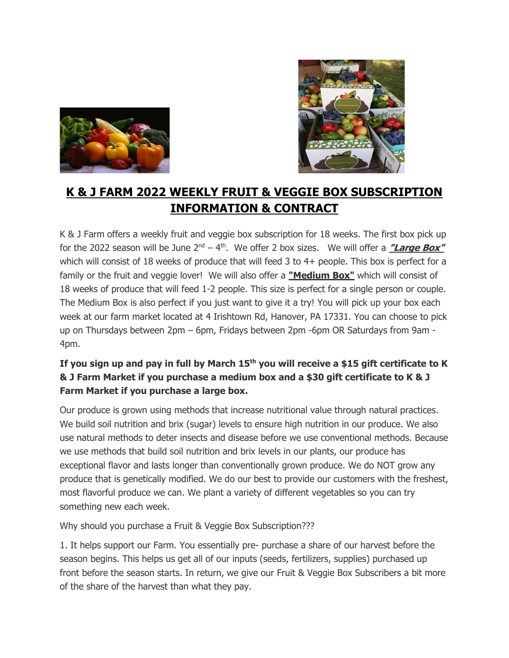



# **K & J FARM 2022 WEEKLY FRUIT & VEGGIE BOX SUBSCRIPTION INFORMATION & CONTRACT**

K & J Farm offers a weekly fruit and veggie box subscription for 18 weeks. The first box pick up for the 2022 season will be June 2<sup>nd</sup> – 4<sup>th</sup>. We offer 2 box sizes. We will offer a *"Large Box"* which will consist of 18 weeks of produce that will feed 3 to 4+ people. This box is perfect for a family or the fruit and veggie lover! We will also offer a **"Medium Box"** which will consist of 18 weeks of produce that will feed 1-2 people. This size is perfect for a single person or couple. The Medium Box is also perfect if you just want to give it a try! You will pick up your box each week at our farm market located at 4 Irishtown Rd, Hanover, PA 17331. You can choose to pick up on Thursdays between 2pm – 6pm, Fridays between 2pm -6pm OR Saturdays from 9am - 4pm.

## **If you sign up and pay in full by March 15th you will receive a \$15 gift certificate to K & J Farm Market if you purchase a medium box and a \$30 gift certificate to K & J Farm Market if you purchase a large box.**

Our produce is grown using methods that increase nutritional value through natural practices. We build soil nutrition and brix (sugar) levels to ensure high nutrition in our produce. We also use natural methods to deter insects and disease before we use conventional methods. Because we use methods that build soil nutrition and brix levels in our plants, our produce has exceptional flavor and lasts longer than conventionally grown produce. We do NOT grow any produce that is genetically modified. We do our best to provide our customers with the freshest, most flavorful produce we can. We plant a variety of different vegetables so you can try something new each week.

Why should you purchase a Fruit & Veggie Box Subscription???

1. It helps support our Farm. You essentially pre- purchase a share of our harvest before the season begins. This helps us get all of our inputs (seeds, fertilizers, supplies) purchased up front before the season starts. In return, we give our Fruit & Veggie Box Subscribers a bit more of the share of the harvest than what they pay.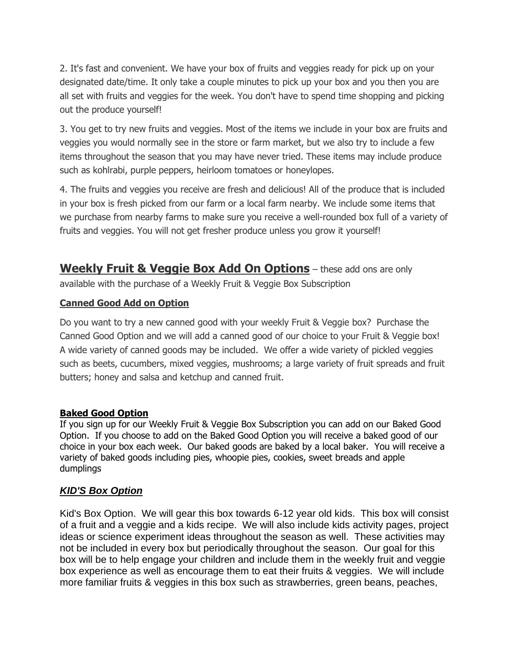2. It's fast and convenient. We have your box of fruits and veggies ready for pick up on your designated date/time. It only take a couple minutes to pick up your box and you then you are all set with fruits and veggies for the week. You don't have to spend time shopping and picking out the produce yourself!

3. You get to try new fruits and veggies. Most of the items we include in your box are fruits and veggies you would normally see in the store or farm market, but we also try to include a few items throughout the season that you may have never tried. These items may include produce such as kohlrabi, purple peppers, heirloom tomatoes or honeylopes.

4. The fruits and veggies you receive are fresh and delicious! All of the produce that is included in your box is fresh picked from our farm or a local farm nearby. We include some items that we purchase from nearby farms to make sure you receive a well-rounded box full of a variety of fruits and veggies. You will not get fresher produce unless you grow it yourself!

**Weekly Fruit & Veggie Box Add On Options** – these add ons are only available with the purchase of a Weekly Fruit & Veggie Box Subscription

#### **Canned Good Add on Option**

Do you want to try a new canned good with your weekly Fruit & Veggie box? Purchase the Canned Good Option and we will add a canned good of our choice to your Fruit & Veggie box! A wide variety of canned goods may be included. We offer a wide variety of pickled veggies such as beets, cucumbers, mixed veggies, mushrooms; a large variety of fruit spreads and fruit butters; honey and salsa and ketchup and canned fruit.

#### **Baked Good Option**

If you sign up for our Weekly Fruit & Veggie Box Subscription you can add on our Baked Good Option. If you choose to add on the Baked Good Option you will receive a baked good of our choice in your box each week. Our baked goods are baked by a local baker. You will receive a variety of baked goods including pies, whoopie pies, cookies, sweet breads and apple dumplings

#### *KID'S Box Option*

Kid's Box Option. We will gear this box towards 6-12 year old kids. This box will consist of a fruit and a veggie and a kids recipe. We will also include kids activity pages, project ideas or science experiment ideas throughout the season as well. These activities may not be included in every box but periodically throughout the season. Our goal for this box will be to help engage your children and include them in the weekly fruit and veggie box experience as well as encourage them to eat their fruits & veggies. We will include more familiar fruits & veggies in this box such as strawberries, green beans, peaches,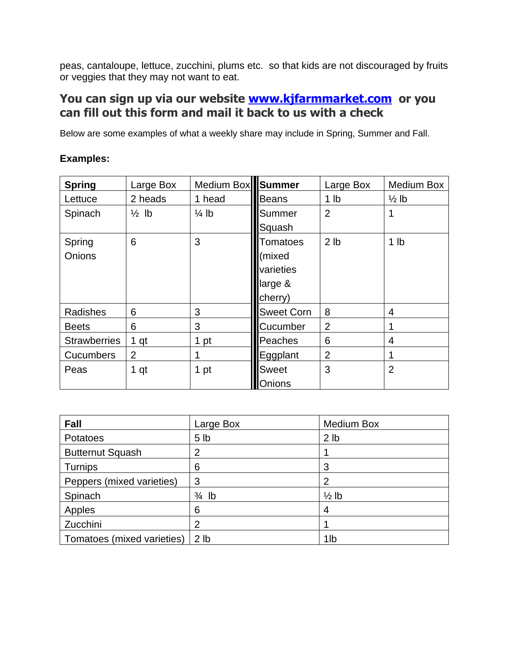peas, cantaloupe, lettuce, zucchini, plums etc. so that kids are not discouraged by fruits or veggies that they may not want to eat.

# **You can sign up via our website [www.kjfarmmarket.com](http://www.kjfarmmarket.com/) or you can fill out this form and mail it back to us with a check**

Below are some examples of what a weekly share may include in Spring, Summer and Fall.

### **Examples:**

| <b>Spring</b>       | Large Box        | Medium Box Summer |                   | Large Box       | Medium Box       |
|---------------------|------------------|-------------------|-------------------|-----------------|------------------|
| Lettuce             | 2 heads          | 1 head            | Beans             | 1 <sub>lb</sub> | $\frac{1}{2}$ lb |
| Spinach             | $\frac{1}{2}$ lb | $\frac{1}{4}$ lb  | Summer            | $\overline{2}$  | 1                |
|                     |                  |                   | Squash            |                 |                  |
| Spring              | 6                | 3                 | <b>Tomatoes</b>   | 2 <sub>lb</sub> | 1 <sub>lb</sub>  |
| Onions              |                  |                   | (mixed            |                 |                  |
|                     |                  |                   | varieties         |                 |                  |
|                     |                  |                   | large &           |                 |                  |
|                     |                  |                   | cherry)           |                 |                  |
| Radishes            | 6                | 3                 | <b>Sweet Corn</b> | 8               | 4                |
| <b>Beets</b>        | 6                | 3                 | Cucumber          | $\overline{2}$  |                  |
| <b>Strawberries</b> | 1 <sub>qt</sub>  | 1 pt              | Peaches           | 6               | 4                |
| <b>Cucumbers</b>    | $\overline{2}$   | 1                 | Eggplant          | $\overline{2}$  | 1                |
| Peas                | 1 qt             | 1 pt              | <b>Sweet</b>      | 3               | $\overline{2}$   |
|                     |                  |                   | Onions            |                 |                  |

| <b>Fall</b>                | Large Box        | <b>Medium Box</b> |
|----------------------------|------------------|-------------------|
| Potatoes                   | 5 <sub>1b</sub>  | 2 <sub>1b</sub>   |
| <b>Butternut Squash</b>    | $\overline{2}$   |                   |
| Turnips                    | 6                | 3                 |
| Peppers (mixed varieties)  | 3                | 2                 |
| Spinach                    | $\frac{3}{4}$ lb | $\frac{1}{2}$ lb  |
| Apples                     | 6                | 4                 |
| Zucchini                   | $\overline{2}$   |                   |
| Tomatoes (mixed varieties) | 2 <sub>1b</sub>  | 1 <sub>lb</sub>   |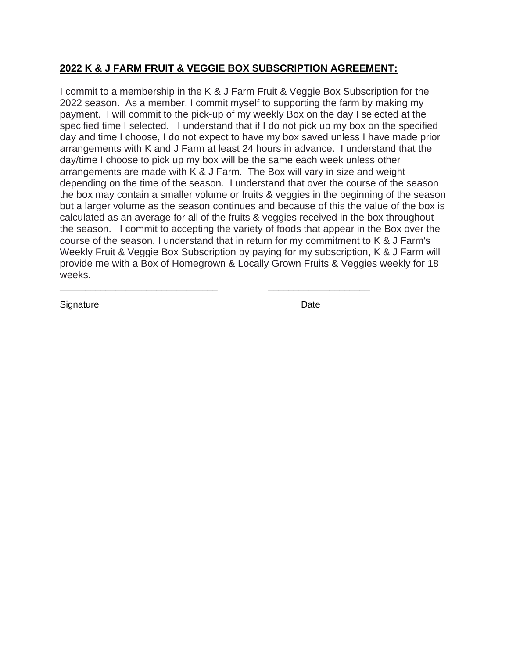### **2022 K & J FARM FRUIT & VEGGIE BOX SUBSCRIPTION AGREEMENT:**

\_\_\_\_\_\_\_\_\_\_\_\_\_\_\_\_\_\_\_\_\_\_\_\_\_\_\_\_\_\_\_ \_\_\_\_\_\_\_\_\_\_\_\_\_\_\_\_\_\_\_\_

I commit to a membership in the K & J Farm Fruit & Veggie Box Subscription for the 2022 season. As a member, I commit myself to supporting the farm by making my payment. I will commit to the pick-up of my weekly Box on the day I selected at the specified time I selected. I understand that if I do not pick up my box on the specified day and time I choose, I do not expect to have my box saved unless I have made prior arrangements with K and J Farm at least 24 hours in advance. I understand that the day/time I choose to pick up my box will be the same each week unless other arrangements are made with K & J Farm. The Box will vary in size and weight depending on the time of the season. I understand that over the course of the season the box may contain a smaller volume or fruits & veggies in the beginning of the season but a larger volume as the season continues and because of this the value of the box is calculated as an average for all of the fruits & veggies received in the box throughout the season. I commit to accepting the variety of foods that appear in the Box over the course of the season. I understand that in return for my commitment to K & J Farm's Weekly Fruit & Veggie Box Subscription by paying for my subscription, K & J Farm will provide me with a Box of Homegrown & Locally Grown Fruits & Veggies weekly for 18 weeks.

Signature Date